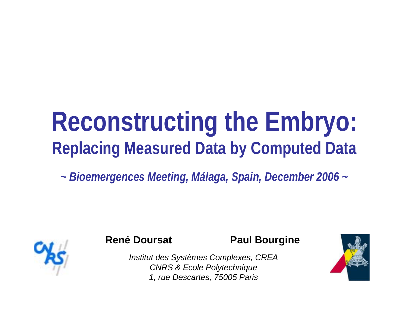# **Reconstructing the Embryo: Replacing Measured Data by Computed Data**

*~ Bioemergences Meeting, Málaga, Spain, December 2006 ~*



**René Doursat**

**Paul Bourgine**

*Institut des Systèmes Complexes, CREA CNRS & Ecole Polytechnique 1, rue Descartes, 75005 Paris*

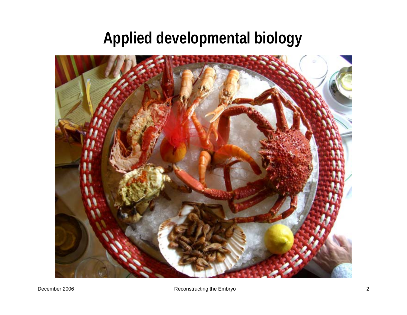#### **Applied developmental biology**

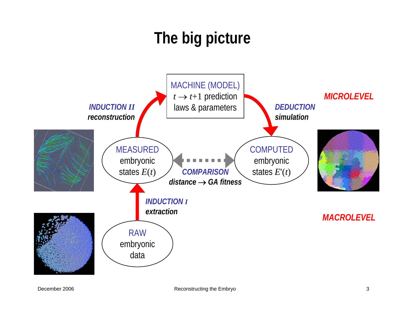## **The big picture**

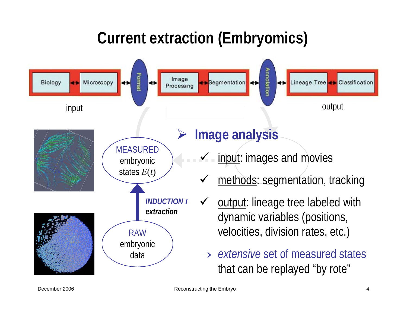#### **Current extraction (Embryomics)**

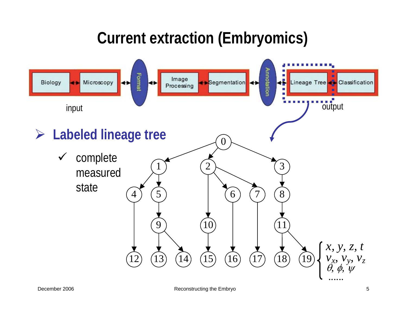#### **Current extraction (Embryomics)**

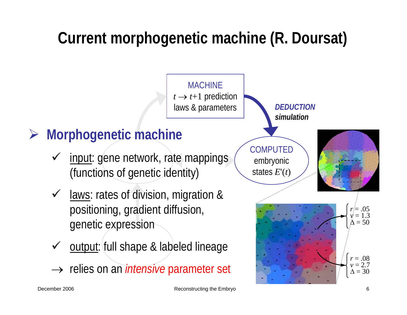### **Current morphogenetic machine (R. Doursat)**

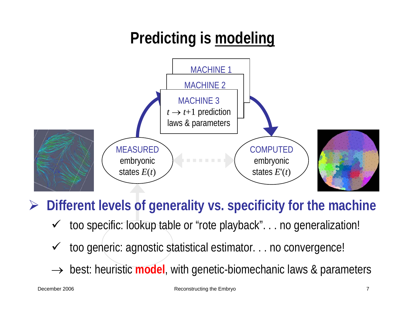#### **Predicting is modeling**



¾ **Different levels of generality vs. specificity for the machine** 

- $\checkmark$ too specific: lookup table or "rote playback". . . no generalization!
- $\checkmark$ too generic: agnostic statistical estimator. . . no convergence!
- → best: heuristic **model**, with genetic-biomechanic laws & parameters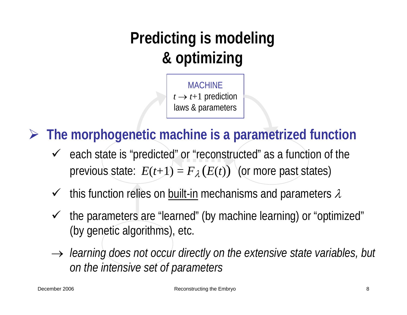#### **Predicting is modeling & optimizing**

MACHINE $t \rightarrow t+1$  prediction laws & parameters

¾ **The morphogenetic machine is a parametrized function** 

- $\checkmark$  each state is "predicted" or "reconstructed" as a function of the previous state:  $E(t+1) = F_{\lambda}(E(t))$  (or more past states)
- $\checkmark$ this function relies on built-in mechanisms and parameters  $\lambda$
- $\checkmark$  the parameters are "learned" (by machine learning) or "optimized" (by genetic algorithms), etc.
- $\rightarrow$  *learning does not occur directly on the extensive state variables, but on the intensive set of parameters*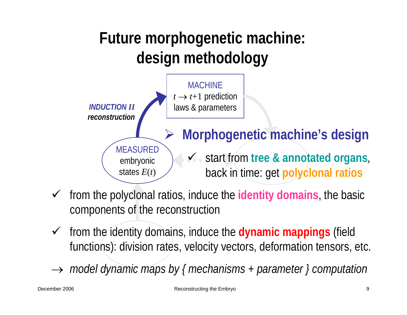### **Future morphogenetic machine: design methodology**



- 9 from the polyclonal ratios, induce the **identity domains**, the basic components of the reconstruction
- 9 from the identity domains, induce the **dynamic mappings** (field functions): division rates, velocity vectors, deformation tensors, etc.

→ *model dynamic maps by { mechanisms + parameter } computation*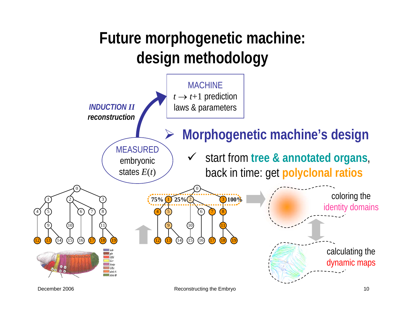#### **Future morphogenetic machine: design methodology**



December 2006

Reconstructing the Embryo 10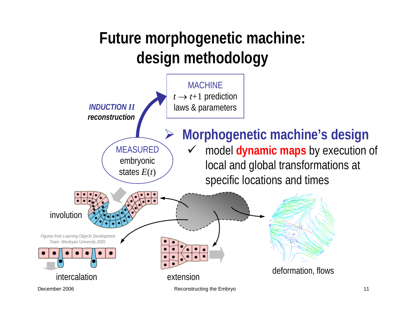#### **Future morphogenetic machine: design methodology**